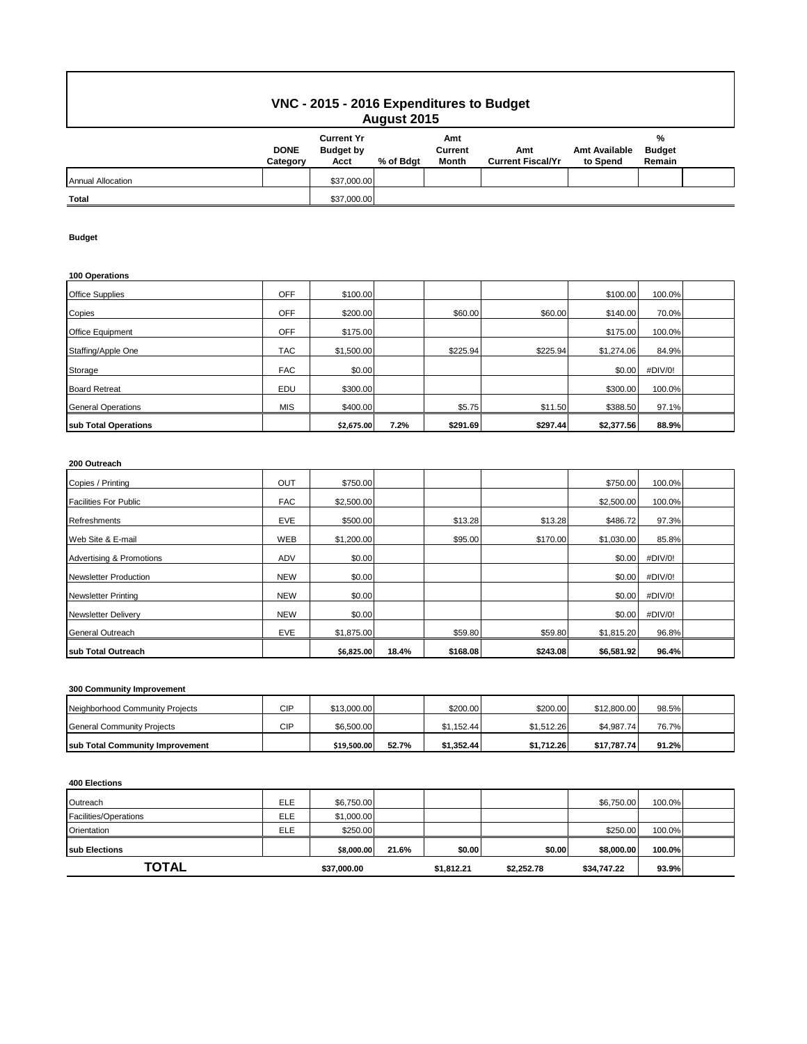# **VNC - 2015 - 2016 Expenditures to Budget August 2015**

| . <u>.</u>               |                         |                                               |           |                         |                                 |                                  |                              |  |  |
|--------------------------|-------------------------|-----------------------------------------------|-----------|-------------------------|---------------------------------|----------------------------------|------------------------------|--|--|
|                          | <b>DONE</b><br>Category | <b>Current Yr</b><br><b>Budget by</b><br>Acct | % of Bdgt | Amt<br>Current<br>Month | Amt<br><b>Current Fiscal/Yr</b> | <b>Amt Available</b><br>to Spend | %<br><b>Budget</b><br>Remain |  |  |
| <b>Annual Allocation</b> |                         | \$37,000.00                                   |           |                         |                                 |                                  |                              |  |  |
| <b>Total</b>             |                         | \$37,000.00                                   |           |                         |                                 |                                  |                              |  |  |

### **Budget**

### **100 Operations**

| sub Total Operations      |            | \$2,675.00 | 7.2% | \$291.69 | \$297.44 | \$2,377.56 | 88.9%   |  |
|---------------------------|------------|------------|------|----------|----------|------------|---------|--|
| <b>General Operations</b> | <b>MIS</b> | \$400.00   |      | \$5.75   | \$11.50  | \$388.50   | 97.1%   |  |
| <b>Board Retreat</b>      | EDU        | \$300.00   |      |          |          | \$300.00   | 100.0%  |  |
| Storage                   | <b>FAC</b> | \$0.00     |      |          |          | \$0.00     | #DIV/0! |  |
| Staffing/Apple One        | <b>TAC</b> | \$1,500.00 |      | \$225.94 | \$225.94 | \$1,274.06 | 84.9%   |  |
| Office Equipment          | OFF        | \$175.00   |      |          |          | \$175.00   | 100.0%  |  |
| Copies                    | OFF        | \$200.00   |      | \$60.00  | \$60.00  | \$140.00   | 70.0%   |  |
| <b>Office Supplies</b>    | OFF        | \$100.00   |      |          |          | \$100.00   | 100.0%  |  |

## **200 Outreach**

| Copies / Printing                   | OUT        | \$750.00   |       |          |          | \$750.00   | 100.0%  |  |
|-------------------------------------|------------|------------|-------|----------|----------|------------|---------|--|
| <b>Facilities For Public</b>        | <b>FAC</b> | \$2,500.00 |       |          |          | \$2,500.00 | 100.0%  |  |
| Refreshments                        | EVE        | \$500.00   |       | \$13.28  | \$13.28  | \$486.72   | 97.3%   |  |
| Web Site & E-mail                   | <b>WEB</b> | \$1,200.00 |       | \$95.00  | \$170.00 | \$1,030.00 | 85.8%   |  |
| <b>Advertising &amp; Promotions</b> | <b>ADV</b> | \$0.00     |       |          |          | \$0.00     | #DIV/0! |  |
| <b>Newsletter Production</b>        | <b>NEW</b> | \$0.00     |       |          |          | \$0.00     | #DIV/0! |  |
| <b>Newsletter Printing</b>          | <b>NEW</b> | \$0.00     |       |          |          | \$0.00     | #DIV/0! |  |
| <b>Newsletter Delivery</b>          | <b>NEW</b> | \$0.00     |       |          |          | \$0.00     | #DIV/0! |  |
| General Outreach                    | EVE        | \$1,875.00 |       | \$59.80  | \$59.80  | \$1,815.20 | 96.8%   |  |
| sub Total Outreach                  |            | \$6,825.00 | 18.4% | \$168.08 | \$243.08 | \$6,581.92 | 96.4%   |  |

### **300 Community Improvement**

| sub Total Community Improvement |     | \$19,500.00 | 52.7% | \$1.352.44 | \$1.712.26 | \$17.787.74 | 91.2% |  |
|---------------------------------|-----|-------------|-------|------------|------------|-------------|-------|--|
| General Community Projects      | CIP | \$6,500.00  |       | \$1.152.44 | \$1.512.26 | \$4.987.74  | 76.7% |  |
| Neighborhood Community Projects | CIP | \$13,000.00 |       | \$200.00   | \$200.00   | \$12,800.00 | 98.5% |  |

#### **400 Elections**

| Outreach              | ELE        | \$6,750.00  |       |            |            | \$6,750.00  | 100.0% |  |
|-----------------------|------------|-------------|-------|------------|------------|-------------|--------|--|
| Facilities/Operations | <b>ELE</b> | \$1,000.00  |       |            |            |             |        |  |
| Orientation           | ELE        | \$250.00    |       |            |            | \$250.00    | 100.0% |  |
| <b>Isub Elections</b> |            | \$8,000.00  | 21.6% | \$0.00     | \$0.00     | \$8,000.00  | 100.0% |  |
| TOTAL                 |            | \$37,000.00 |       | \$1,812.21 | \$2,252.78 | \$34,747.22 | 93.9%  |  |